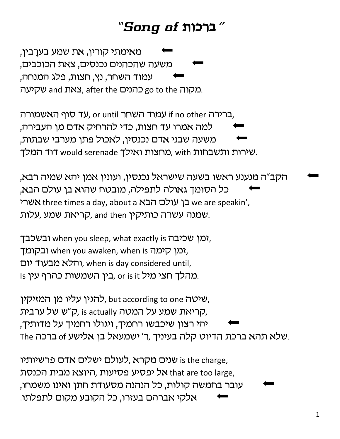## ברכות of ברכות

מאימתי קורין, את שמע בערַבין, משעה שהכהנים נכנסים, צאת הכוכבים, עמוד השחר, נץ, חצות, פלג המנחה, מקיעה go to the כהנים, after the שקיעה

ברירה if no other עמוד השחר or until על סוף האשמורה, למה אמרו עד חצות, כדי להרחיק אדם מן העבירה, משעה שבני אדם נכנסין, לאכול פתן מערבי שבתות, שירות ותשבחות with מחצות ואילד would serenade דוד המלד.

הקב"ה מנענע ראשו בשעה שישראל נכנסין, ועונין אמן יהא שמיה רבא, כל הסומך גאולה לתפילה, מובטח שהוא בן עולם הבא, אשרי three times a day, about a בן עולם הבא three times a day, about a שמנה עשרה כותיקין and then קריאת שמע, עלות,

ובשכבך, when you sleep, what exactly is ובשכבך, ובקומך, when you awaken, when is ובקומך והלא מבעוד יום, when is day considered until, ו s כהרף עין. or is it כמהלך חצי מיל, or is it

להגין עליו מן המזיקין, but according to one שיטה, קריאת שמע על המטה (ק״ש של ערבית, is actually יהי רצון שיכבשו רחמיך, ויגולו רחמיך על מדותיך, The שלא תהא ברכת הדיוט קלה בעיניך ,ר' ישמעאל בן אלישע.

שנים מקרא ,לעולם ישלים אדם פרשיותיו is the charge, אל יפסיע פסיעות ,היוצא מבית הכנסת that are too large, עובר בחמשה קולות, כל הנהנה מסעודת חתן ואינו משמחו, אלקי אברהם בעזרו, כל הקובע מקום לתפלתו.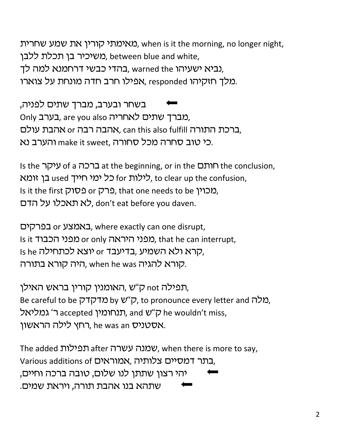מאימתי קורין את שמע שחרית. when is it the morning, no longer night, משיכיר בן תכלת ללבן, between blue and white, נביא ישעיהו warned the ,נביא ישעיהו, warned the מלך חזקיהו x, responded מלך חזקיהו, responded מלך

בשחר ובערב, מברך שתים לפניה, Only בערב, are you also כאחריה, ברכת התורה וותו-א הנה והא, can this also fulfill ברכת התורה, כי טוב סחרה מכל סחורה, make it sweet והערב נא

Is the rehg of a vfrc at the beginning, or in the o,uj the conclusion, to clear up the confusion, לילות for כל ימי חייך used בן זומא Is it the first כרק or כסוק, that one needs to be ומכוין. לא תאכלו על הדם, don't eat before you daven.

באמצע or בפרקים, where exactly can one disrupt, Is it המפני היראה or only מפני הכבוד, that he can interrupt, Is he קרא ולא השמיע, בדיעבד or ולא השמיע, .קורא להגיה when he was היה קורא בתורה

תפילה not ק"ש ,האומנין קורין בראש האילן, Be careful to be *בן*"ש by ש"ף, to pronounce every letter and מלה, לאל, and ק״ש accepted גמליאל, and ק״ש he wouldn't miss, רחץ לילה הראשון. he was an אסטניס, he was an

The added עמנה עשרה after שמנה, when there is more to say, Various additions of בתר דמסיים צלותיה, יהי רצון שתתן לנו שלום, טובה ברכה וחיים, שתהא בנו אהבת תורה, ויראת שמים.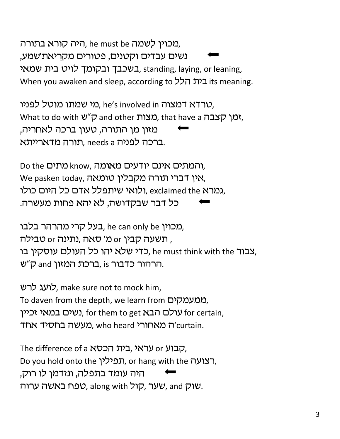מכוין לשמה he must be היה קורא בתורה, נשים עבדים וקטנים, פטורים מקריאת'שמע, בשכבך ובקומך לויט בית שמאי. standing, laying, or leaning, When you awaken and sleep, according to בית הלל its meaning.

טרדא דמצוה he's involved in מי שמתו מוטל לפניו, What to do with ש״ס and other מצות), that have a ומצות מזון מן התורה, טעון ברכה לאחריה, ברכה לפניה needs a תורה מדארייתא.

Do the מתים know, המתים אינם יודעים מאומה), We pasken today, אין דברי תורה מקבלין טומאה, ולואי שיתפלל אדם כל היום כולו, exclaimed the גמרא, כל דבר שבקדושה, לא יהא פחות מעשרה.

בעל קרי מהרהר בלבו, he can only be בעל קרי מהרהר תשעה קבין or סאה ,נתינה or סבילה , , צבור he must think with the כדי שלא יהו כל העולם עוסקין בו הרהור כדבור is ,ברכת המזון and ק״ש.

לועג לרש, make sure not to mock him, To daven from the depth, we learn from ממעמקים. נשים במאי זכיין, for them to get עולם הבא), for certain, תורי (מעשה בחסיד אחד) (מעשה בחסיד). who heard

The difference of a קבוע or עראי, בית הכסא Do you hold onto the תפילין, or hang with the הצועה, היה עומד בתפלה, ונזדמן לו רוק, שוק and שער, קול, along with טפח באשה ערוה, and y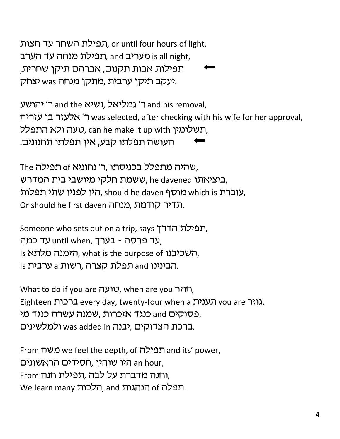תפילת השחר עד חצות, or until four hours of light, תפילת מנחה עד הערב, and all night, 'תפילות אבות תקנום, אברהם תיקן שחרית, יעקב תיקן ערבית ,מתקן מנחה was יצחק.

ר' יהושע and the ב' גמליאל, נשיא and his removal, ר' אלעזר בן עזריה was selected, after checking with his wife for her approval, רנשלומין, can he make it up with ועלומין, העושה תפלתו קבע, אין תפלתו תחנונים.

The שהיה מתפלל בכניסתו ,ר' נחוניא of מפילה, ביציאתו he davened ,ששמת חלקי מיושבי בית המדרש, ,עוברת which is מוסף should he daven היו לפניו שתי תפלות Or should he first daven כדיר קודמת, מנחה.

Someone who sets out on a trip, says הפילת הדרך, עד פרסה - בערך, until when, עד כמה, Is השכיבנו, what is the purpose of השכיבנו, Is הבינינו and תפלת קצרה ,רשות a ערבית.

What to do if you are *וואר*, when are you חוזר, Eighteen ברכות every day, twenty-four when a גוזר you are גוזר פסוקים and כנגד אזכרות ,שמנה עשרה כנגד מי, ברכת הצדוקים ,יבנה was added in ולמלשינים.

From משה we feel the depth, of תפילה and its' power, היו שוהין ,חסידים הראשונים an hour, ,וחנה מדברת על לבה ,תפילת חנה From We learn many הלכות, and הנהגות, af of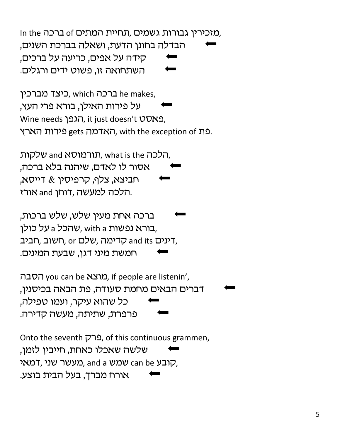In the ברכה, of מזכירין גבורות גשמים, תחיית המתים הבדלה בחונן הדעת, ושאלה בברכת השנים, קידה על אפים, כריעה על ברכים, השתחואה זו, פשוט ידים ורגלים.

ברכה which היצד מברכין, which ברכה על פירות האילן, בורא פרי העץ, Wine needs הגפן, it just doesn't DDN2, רארץ, with the exception of האדמה gets פירות הארץ.

תורמוסא and שלקות, what is the שלקות, אסור לו לאדם, שיהנה בלא ברכה, חביצא, צלף, קרפיסין & דייסא, הלכה למעשה, דוחן and אורז.

ברכה אחת מעין שלש, שלש ברכות, בורא נפשות with a שהכל a על כולן, חביב, חביב, or קדימה, שלם, חשוב, חביב חמשת מיני דגן, שבעת המינים.

הסבה, you can be מוצא), if people are listenin', דברים הבאים מחמת סעודה, פת הבאה בכיסנין, כל שהוא עיקר, ועמו טפילה, פרפרת, שתיתה, מעשה קדירה.

Onto the seventh ברק, of this continuous grammen, שלשה שאכלו כאחת, חייביו לזמו. מעשר שני, דמאי, and a שמש can be כארבע, אורח מברך, בעל הבית בוצע.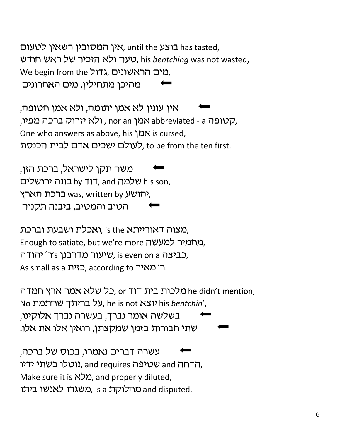בוצע has tasted, אין המסובין רשאין לטעום, טעה ולא הזכיר של ראש חודש, his bentching was not wasted, We begin from the גדול, שונים, מהיכן מתחילין, מים האחרונים.

אין עונין לא אמן יתומה, ולא אמן חטופה, ,קטופה abbreviated - a אמן nor an , ולא יזרוק ברכה מפיו, One who answers as above, his אמן is cursed, לעולם ישכים אדם לבית הכנסת, to be from the ten first.

משה תקן לישראל, ברכת הזן, by Tit, and שלמה by Tit, and בונה ירושלים רכת הארץ), was, written by יהושע הטוב והמטיב, ביבנה תקנוה.

מצוה דאורייתא is the ,ואכלת ושבעת וברכת, Enough to satiate, but we're more כמרמיר למעשה שיעור מדרבנן 2'ר' יהודה, שיעור מדרבנן, As small as a ר' מאיר. according to ר' מאיר.

מלכות בית דוד or, כל שלא אמר ארץ חמדה he didn't mention, No ווא יוצא he is not על בריתך שחתמת, בשלשה אומר נברך, בעשרה נברך אלוקינו, שתי חבורות בזמן שמקצתן, רואין אלו את אלו.

עשרה דברים נאמרו, בכוס של ברכה, נוטלו בשתי ידיו, and requires הדחה, Make sure it is  $N$  and properly diluted, משגרו לאנשו ביתו s and disputed.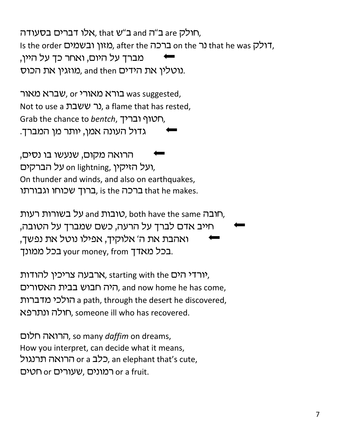חולק are ב"ה and ב"ש that ,אלו דברים בסעודה Is the order (מאון ובשמים, after the ברכה, מברך על היום, ואחר כך על היין, מוזגין את הכוס. and then מוזגין את הכוס.

ברא מאורי or כורא מאורי, or כאור Not to use a נר ששבת. a flame that has rested, Grab the chance to bentch, רטוף ובריך. גדול העונה אמן, יותר מן המברך.

הרואה מקום, שנעשו בו נסים, ועל האיקין, on lightning, ועל האיקין, On thunder and winds, and also on earthquakes, ברוך שכוחו וגבורתו is the ברכה, is the ברכה

סובות and ועל בשורות רעות, both have the same הובה, חייב אדם לברך על הרעה, כשם שמברך על הטובה, ואהבת את ה' אלוקיך, אפילו נוטל את נפשך, בכל ממונך your money, from בכל ממונך.

ארבעה צריכין להודות, starting with the הים, היה חבוש בבית האסורים, and now home he has come, a path, through the desert he discovered, חולה ונתרפא, someone ill who has recovered.

הרואה חלום, so many daffim on dreams, How you interpret, can decide what it means, כלב or a כלב, an elephant that's cute, or a fruit.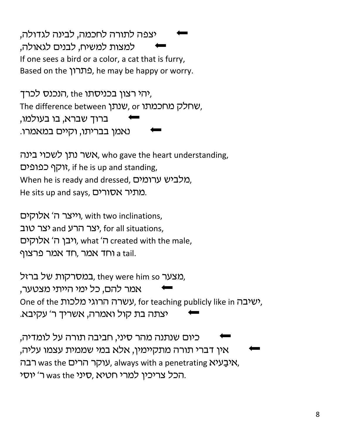יצפה לתורה לחכמה, לבינה לגדולה, למצות למשיח, לבנים לגאולה, If one sees a bird or a color, a cat that is furry, Based on the Cתרון, he may be happy or worry.

רוכנס לכרד, the הנכנס לכרד, The difference between שנתן, or שחלק מחכמתו, ברוד שברא, בו בעולמו, נאמן בבריתו, וקיים במאמרו.

אשר נתן לשכוי בינה, who gave the heart understanding, יוקף כפופים, if he is up and standing, Mhen he is ready and dressed, מלביש ערומים He sits up and says, שתיר אסורים.

וייצר ה' אלוקים, with two inclinations, יצר סוב, for all situations, ויבן ה' אלוקים, what 'ה created with the male, אמר פרצוף a tail.

במסרקות של ברזל, they were him so אמר להם, כל ימי הייתי מצטער, One of the עשרה הרוגי מלכות, for teaching publicly like in . יצתה בת קול ואמרה, אשריך ר' עקיבא.

כיום שנתנה מהר סיני, חביבה תורה על לומדיה, אין דברי תורה מתקיימין, אלא במי שממית עצמו עליה, רבה, was the עוקר הרים, always with a penetrating Wיבעיא, יוסי (עורי חטיא, סיני was the הכל צריכין למרי.